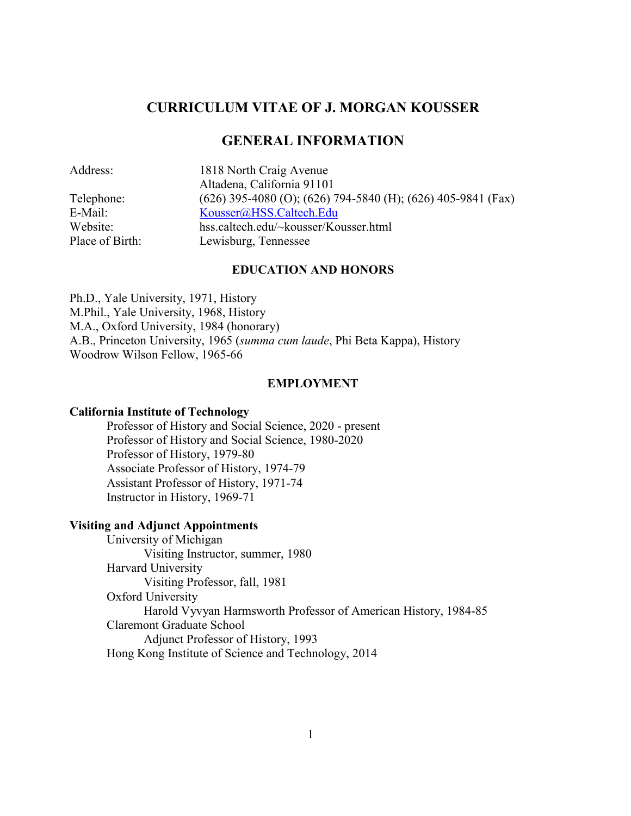# **CURRICULUM VITAE OF J. MORGAN KOUSSER**

# **GENERAL INFORMATION**

| Address:        | 1818 North Craig Avenue                                            |
|-----------------|--------------------------------------------------------------------|
|                 | Altadena, California 91101                                         |
| Telephone:      | $(626)$ 395-4080 (O); $(626)$ 794-5840 (H); $(626)$ 405-9841 (Fax) |
| E-Mail:         | Kousser@HSS.Caltech.Edu                                            |
| Website:        | hss.caltech.edu/~kousser/Kousser.html                              |
| Place of Birth: | Lewisburg, Tennessee                                               |
|                 |                                                                    |

### **EDUCATION AND HONORS**

Ph.D., Yale University, 1971, History M.Phil., Yale University, 1968, History M.A., Oxford University, 1984 (honorary) A.B., Princeton University, 1965 (*summa cum laude*, Phi Beta Kappa), History Woodrow Wilson Fellow, 1965-66

#### **EMPLOYMENT**

### **California Institute of Technology**

Professor of History and Social Science, 2020 - present Professor of History and Social Science, 1980-2020 Professor of History, 1979-80 Associate Professor of History, 1974-79 Assistant Professor of History, 1971-74 Instructor in History, 1969-71

# **Visiting and Adjunct Appointments**

University of Michigan Visiting Instructor, summer, 1980 Harvard University Visiting Professor, fall, 1981 Oxford University Harold Vyvyan Harmsworth Professor of American History, 1984-85 Claremont Graduate School Adjunct Professor of History, 1993 Hong Kong Institute of Science and Technology, 2014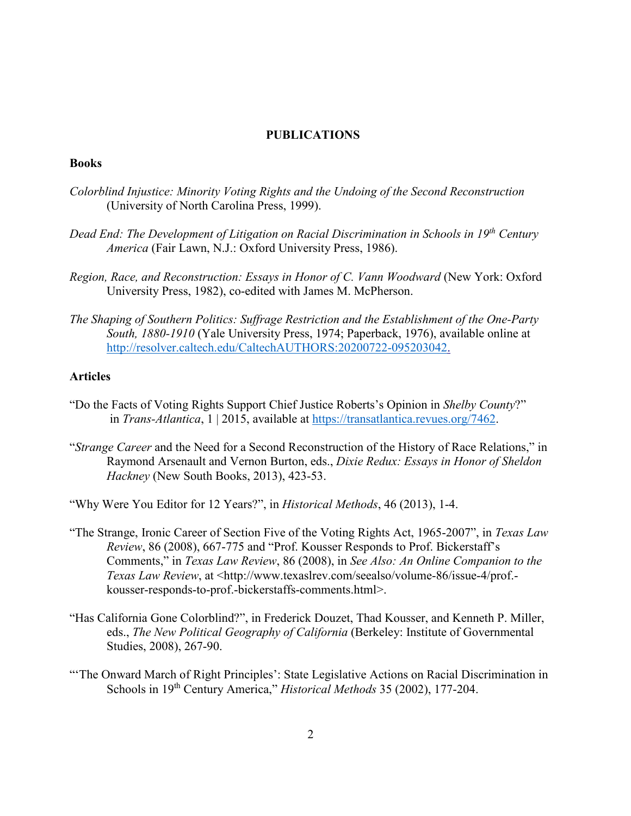### **PUBLICATIONS**

#### **Books**

- *Colorblind Injustice: Minority Voting Rights and the Undoing of the Second Reconstruction* (University of North Carolina Press, 1999).
- *Dead End: The Development of Litigation on Racial Discrimination in Schools in 19th Century America* (Fair Lawn, N.J.: Oxford University Press, 1986).
- *Region, Race, and Reconstruction: Essays in Honor of C. Vann Woodward* (New York: Oxford University Press, 1982), co-edited with James M. McPherson.
- *The Shaping of Southern Politics: Suffrage Restriction and the Establishment of the One-Party South, 1880-1910* (Yale University Press, 1974; Paperback, 1976), available online at [http://resolver.caltech.edu/CaltechAUTHORS:20200722-095203042.](http://resolver.caltech.edu/CaltechAUTHORS:20200722-095203042)

# **Articles**

- "Do the Facts of Voting Rights Support Chief Justice Roberts's Opinion in *Shelby County*?" in *Trans-Atlantica*, 1 | 2015, available at [https://transatlantica.revues.org/7462.](https://transatlantica.revues.org/7462)
- "*Strange Career* and the Need for a Second Reconstruction of the History of Race Relations," in Raymond Arsenault and Vernon Burton, eds., *Dixie Redux: Essays in Honor of Sheldon Hackney* (New South Books, 2013), 423-53.
- "Why Were You Editor for 12 Years?", in *Historical Methods*, 46 (2013), 1-4.
- "The Strange, Ironic Career of Section Five of the Voting Rights Act, 1965-2007", in *Texas Law Review*, 86 (2008), 667-775 and "Prof. Kousser Responds to Prof. Bickerstaff's Comments," in *Texas Law Review*, 86 (2008), in *See Also: An Online Companion to the Texas Law Review*, at <http://www.texaslrev.com/seealso/volume-86/issue-4/prof. kousser-responds-to-prof.-bickerstaffs-comments.html>.
- "Has California Gone Colorblind?", in Frederick Douzet, Thad Kousser, and Kenneth P. Miller, eds., *The New Political Geography of California* (Berkeley: Institute of Governmental Studies, 2008), 267-90.
- "'The Onward March of Right Principles': State Legislative Actions on Racial Discrimination in Schools in 19th Century America," *Historical Methods* 35 (2002), 177-204.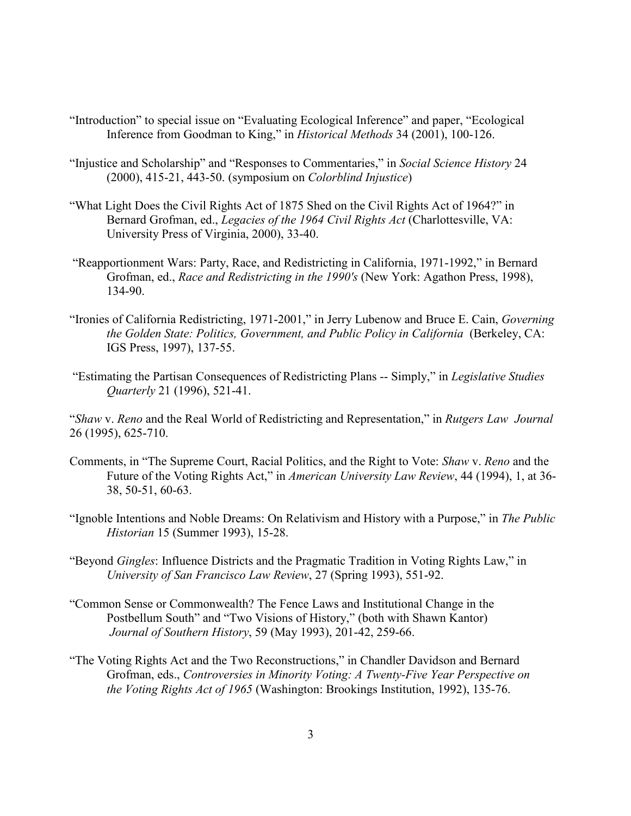- "Introduction" to special issue on "Evaluating Ecological Inference" and paper, "Ecological Inference from Goodman to King," in *Historical Methods* 34 (2001), 100-126.
- "Injustice and Scholarship" and "Responses to Commentaries," in *Social Science History* 24 (2000), 415-21, 443-50. (symposium on *Colorblind Injustice*)
- "What Light Does the Civil Rights Act of 1875 Shed on the Civil Rights Act of 1964?" in Bernard Grofman, ed., *Legacies of the 1964 Civil Rights Act* (Charlottesville, VA: University Press of Virginia, 2000), 33-40.
- "Reapportionment Wars: Party, Race, and Redistricting in California, 1971-1992," in Bernard Grofman, ed., *Race and Redistricting in the 1990's* (New York: Agathon Press, 1998), 134-90.
- "Ironies of California Redistricting, 1971-2001," in Jerry Lubenow and Bruce E. Cain, *Governing the Golden State: Politics, Government, and Public Policy in California* (Berkeley, CA: IGS Press, 1997), 137-55.
- "Estimating the Partisan Consequences of Redistricting Plans -- Simply," in *Legislative Studies Quarterly* 21 (1996), 521-41.

"*Shaw* v. *Reno* and the Real World of Redistricting and Representation," in *Rutgers Law Journal* 26 (1995), 625-710.

- Comments, in "The Supreme Court, Racial Politics, and the Right to Vote: *Shaw* v. *Reno* and the Future of the Voting Rights Act," in *American University Law Review*, 44 (1994), 1, at 36- 38, 50-51, 60-63.
- "Ignoble Intentions and Noble Dreams: On Relativism and History with a Purpose," in *The Public Historian* 15 (Summer 1993), 15-28.
- "Beyond *Gingles*: Influence Districts and the Pragmatic Tradition in Voting Rights Law," in *University of San Francisco Law Review*, 27 (Spring 1993), 551-92.
- "Common Sense or Commonwealth? The Fence Laws and Institutional Change in the Postbellum South" and "Two Visions of History," (both with Shawn Kantor) *Journal of Southern History*, 59 (May 1993), 201-42, 259-66.
- "The Voting Rights Act and the Two Reconstructions," in Chandler Davidson and Bernard Grofman, eds., *Controversies in Minority Voting: A Twenty-Five Year Perspective on the Voting Rights Act of 1965* (Washington: Brookings Institution, 1992), 135-76.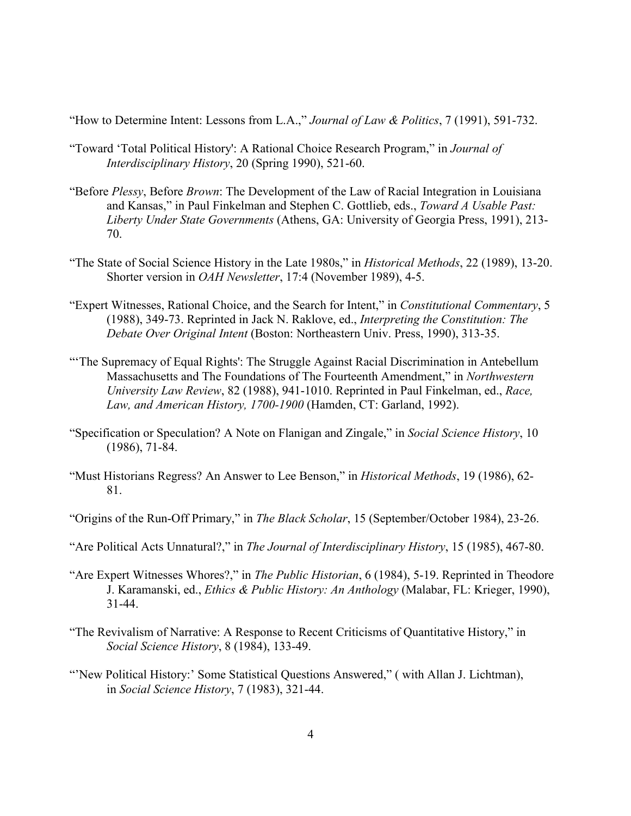"How to Determine Intent: Lessons from L.A.," *Journal of Law & Politics*, 7 (1991), 591-732.

- "Toward 'Total Political History': A Rational Choice Research Program," in *Journal of Interdisciplinary History*, 20 (Spring 1990), 521-60.
- "Before *Plessy*, Before *Brown*: The Development of the Law of Racial Integration in Louisiana and Kansas," in Paul Finkelman and Stephen C. Gottlieb, eds., *Toward A Usable Past: Liberty Under State Governments* (Athens, GA: University of Georgia Press, 1991), 213- 70.
- "The State of Social Science History in the Late 1980s," in *Historical Methods*, 22 (1989), 13-20. Shorter version in *OAH Newsletter*, 17:4 (November 1989), 4-5.
- "Expert Witnesses, Rational Choice, and the Search for Intent," in *Constitutional Commentary*, 5 (1988), 349-73. Reprinted in Jack N. Raklove, ed., *Interpreting the Constitution: The Debate Over Original Intent* (Boston: Northeastern Univ. Press, 1990), 313-35.
- "'The Supremacy of Equal Rights': The Struggle Against Racial Discrimination in Antebellum Massachusetts and The Foundations of The Fourteenth Amendment," in *Northwestern University Law Review*, 82 (1988), 941-1010. Reprinted in Paul Finkelman, ed., *Race, Law, and American History, 1700-1900* (Hamden, CT: Garland, 1992).
- "Specification or Speculation? A Note on Flanigan and Zingale," in *Social Science History*, 10 (1986), 71-84.
- "Must Historians Regress? An Answer to Lee Benson," in *Historical Methods*, 19 (1986), 62- 81.
- "Origins of the Run-Off Primary," in *The Black Scholar*, 15 (September/October 1984), 23-26.
- "Are Political Acts Unnatural?," in *The Journal of Interdisciplinary History*, 15 (1985), 467-80.
- "Are Expert Witnesses Whores?," in *The Public Historian*, 6 (1984), 5-19. Reprinted in Theodore J. Karamanski, ed., *Ethics & Public History: An Anthology* (Malabar, FL: Krieger, 1990), 31-44.
- "The Revivalism of Narrative: A Response to Recent Criticisms of Quantitative History," in *Social Science History*, 8 (1984), 133-49.
- "New Political History:' Some Statistical Questions Answered," (with Allan J. Lichtman), in *Social Science History*, 7 (1983), 321-44.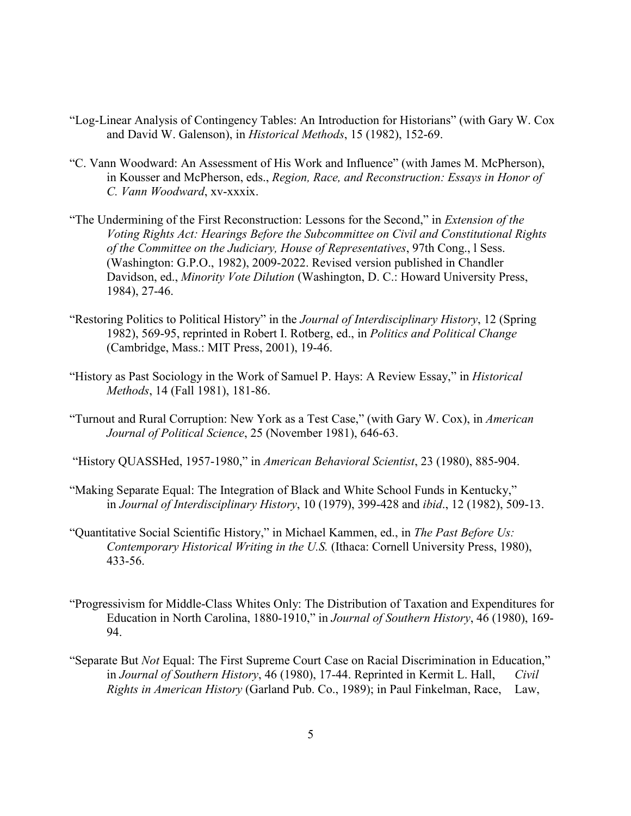- "Log-Linear Analysis of Contingency Tables: An Introduction for Historians" (with Gary W. Cox and David W. Galenson), in *Historical Methods*, 15 (1982), 152-69.
- "C. Vann Woodward: An Assessment of His Work and Influence" (with James M. McPherson), in Kousser and McPherson, eds., *Region, Race, and Reconstruction: Essays in Honor of C. Vann Woodward*, xv-xxxix.
- "The Undermining of the First Reconstruction: Lessons for the Second," in *Extension of the Voting Rights Act: Hearings Before the Subcommittee on Civil and Constitutional Rights of the Committee on the Judiciary, House of Representatives*, 97th Cong., l Sess. (Washington: G.P.O., 1982), 2009-2022. Revised version published in Chandler Davidson, ed., *Minority Vote Dilution* (Washington, D. C.: Howard University Press, 1984), 27-46.
- "Restoring Politics to Political History" in the *Journal of Interdisciplinary History*, 12 (Spring 1982), 569-95, reprinted in Robert I. Rotberg, ed., in *Politics and Political Change* (Cambridge, Mass.: MIT Press, 2001), 19-46.
- "History as Past Sociology in the Work of Samuel P. Hays: A Review Essay," in *Historical Methods*, 14 (Fall 1981), 181-86.
- "Turnout and Rural Corruption: New York as a Test Case," (with Gary W. Cox), in *American Journal of Political Science*, 25 (November 1981), 646-63.
- "History QUASSHed, 1957-1980," in *American Behavioral Scientist*, 23 (1980), 885-904.
- "Making Separate Equal: The Integration of Black and White School Funds in Kentucky," in *Journal of Interdisciplinary History*, 10 (1979), 399-428 and *ibid*., 12 (1982), 509-13.
- "Quantitative Social Scientific History," in Michael Kammen, ed., in *The Past Before Us: Contemporary Historical Writing in the U.S.* (Ithaca: Cornell University Press, 1980), 433-56.
- "Progressivism for Middle-Class Whites Only: The Distribution of Taxation and Expenditures for Education in North Carolina, 1880-1910," in *Journal of Southern History*, 46 (1980), 169- 94.
- "Separate But *Not* Equal: The First Supreme Court Case on Racial Discrimination in Education," in *Journal of Southern History*, 46 (1980), 17-44. Reprinted in Kermit L. Hall, *Civil Rights in American History* (Garland Pub. Co., 1989); in Paul Finkelman, Race, Law,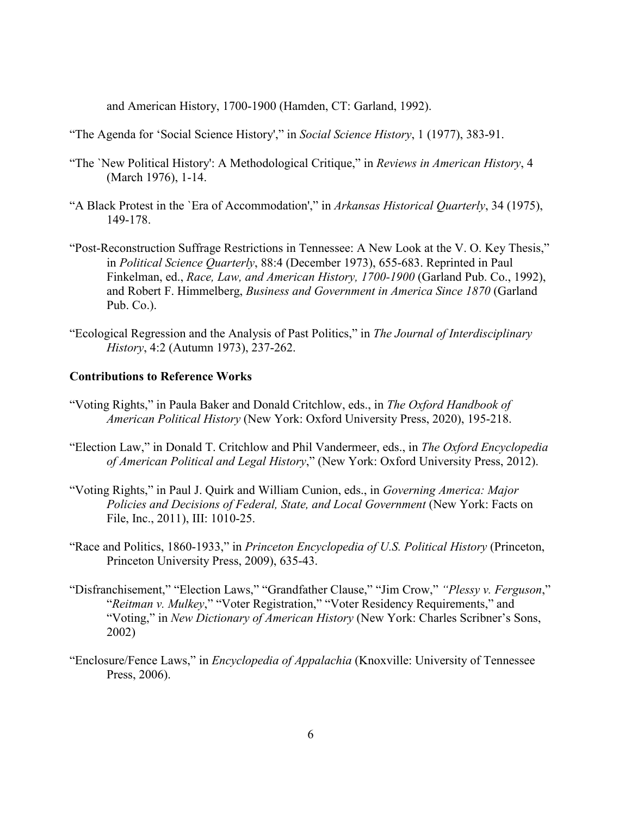and American History, 1700-1900 (Hamden, CT: Garland, 1992).

"The Agenda for 'Social Science History'," in *Social Science History*, 1 (1977), 383-91.

- "The `New Political History': A Methodological Critique," in *Reviews in American History*, 4 (March 1976), 1-14.
- "A Black Protest in the `Era of Accommodation'," in *Arkansas Historical Quarterly*, 34 (1975), 149-178.
- "Post-Reconstruction Suffrage Restrictions in Tennessee: A New Look at the V. O. Key Thesis," in *Political Science Quarterly*, 88:4 (December 1973), 655-683. Reprinted in Paul Finkelman, ed., *Race, Law, and American History, 1700-1900* (Garland Pub. Co., 1992), and Robert F. Himmelberg, *Business and Government in America Since 1870* (Garland Pub. Co.).
- "Ecological Regression and the Analysis of Past Politics," in *The Journal of Interdisciplinary History*, 4:2 (Autumn 1973), 237-262.

#### **Contributions to Reference Works**

- "Voting Rights," in Paula Baker and Donald Critchlow, eds., in *The Oxford Handbook of American Political History* (New York: Oxford University Press, 2020), 195-218.
- "Election Law," in Donald T. Critchlow and Phil Vandermeer, eds., in *The Oxford Encyclopedia of American Political and Legal History*," (New York: Oxford University Press, 2012).
- "Voting Rights," in Paul J. Quirk and William Cunion, eds., in *Governing America: Major Policies and Decisions of Federal, State, and Local Government* (New York: Facts on File, Inc., 2011), III: 1010-25.
- "Race and Politics, 1860-1933," in *Princeton Encyclopedia of U.S. Political History* (Princeton, Princeton University Press, 2009), 635-43.
- "Disfranchisement," "Election Laws," "Grandfather Clause," "Jim Crow," *"Plessy v. Ferguson*," "*Reitman v. Mulkey*," "Voter Registration," "Voter Residency Requirements," and "Voting," in *New Dictionary of American History* (New York: Charles Scribner's Sons, 2002)
- "Enclosure/Fence Laws," in *Encyclopedia of Appalachia* (Knoxville: University of Tennessee Press, 2006).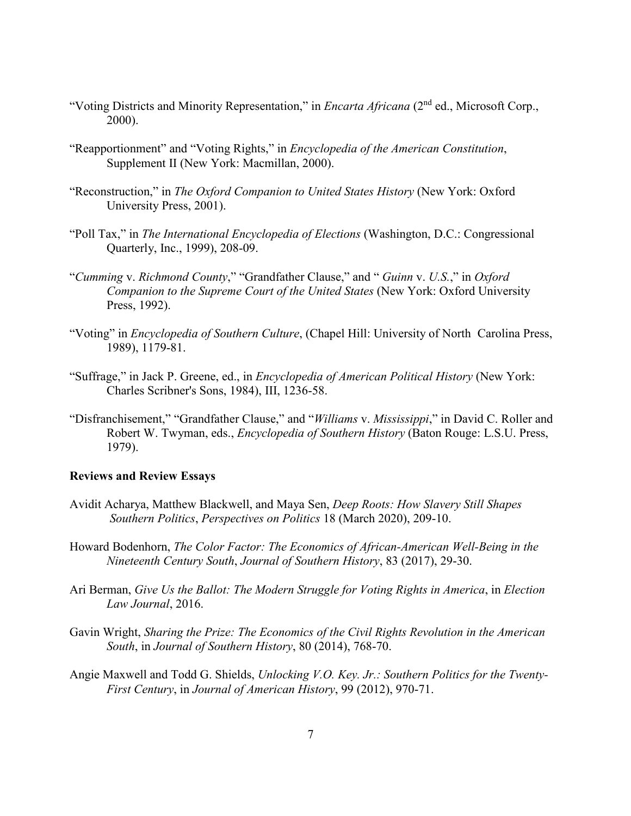- "Voting Districts and Minority Representation," in *Encarta Africana* (2nd ed., Microsoft Corp., 2000).
- "Reapportionment" and "Voting Rights," in *Encyclopedia of the American Constitution*, Supplement II (New York: Macmillan, 2000).
- "Reconstruction," in *The Oxford Companion to United States History* (New York: Oxford University Press, 2001).
- "Poll Tax," in *The International Encyclopedia of Elections* (Washington, D.C.: Congressional Quarterly, Inc., 1999), 208-09.
- "*Cumming* v. *Richmond County*," "Grandfather Clause," and " *Guinn* v. *U.S.*," in *Oxford Companion to the Supreme Court of the United States* (New York: Oxford University Press, 1992).
- "Voting" in *Encyclopedia of Southern Culture*, (Chapel Hill: University of North Carolina Press, 1989), 1179-81.
- "Suffrage," in Jack P. Greene, ed., in *Encyclopedia of American Political History* (New York: Charles Scribner's Sons, 1984), III, 1236-58.
- "Disfranchisement," "Grandfather Clause," and "*Williams* v. *Mississippi*," in David C. Roller and Robert W. Twyman, eds., *Encyclopedia of Southern History* (Baton Rouge: L.S.U. Press, 1979).

### **Reviews and Review Essays**

- Avidit Acharya, Matthew Blackwell, and Maya Sen, *Deep Roots: How Slavery Still Shapes Southern Politics*, *Perspectives on Politics* 18 (March 2020), 209-10.
- Howard Bodenhorn, *The Color Factor: The Economics of African-American Well-Being in the Nineteenth Century South*, *Journal of Southern History*, 83 (2017), 29-30.
- Ari Berman, *Give Us the Ballot: The Modern Struggle for Voting Rights in America*, in *Election Law Journal*, 2016.
- Gavin Wright, *Sharing the Prize: The Economics of the Civil Rights Revolution in the American South*, in *Journal of Southern History*, 80 (2014), 768-70.
- Angie Maxwell and Todd G. Shields, *Unlocking V.O. Key. Jr.: Southern Politics for the Twenty-First Century*, in *Journal of American History*, 99 (2012), 970-71.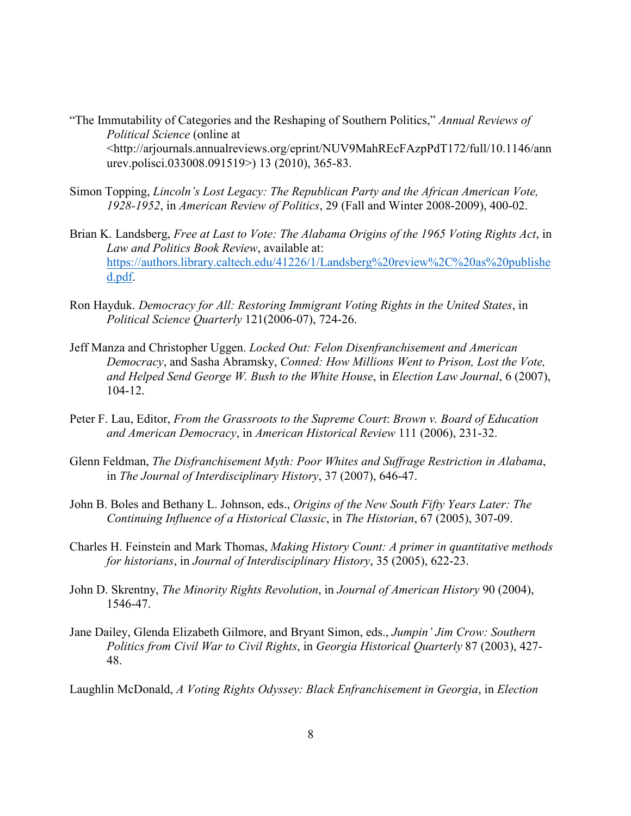- "The Immutability of Categories and the Reshaping of Southern Politics," *Annual Reviews of Political Science* (online at <http://arjournals.annualreviews.org/eprint/NUV9MahREcFAzpPdT172/full/10.1146/ann urev.polisci.033008.091519>) 13 (2010), 365-83.
- Simon Topping, *Lincoln's Lost Legacy: The Republican Party and the African American Vote, 1928-1952*, in *American Review of Politics*, 29 (Fall and Winter 2008-2009), 400-02.
- Brian K. Landsberg, *Free at Last to Vote: The Alabama Origins of the 1965 Voting Rights Act*, in *Law and Politics Book Review*, available at: [https://authors.library.caltech.edu/41226/1/Landsberg%20review%2C%20as%20publishe](https://authors.library.caltech.edu/41226/1/Landsberg%20review%2C%20as%20published.pdf) [d.pdf.](https://authors.library.caltech.edu/41226/1/Landsberg%20review%2C%20as%20published.pdf)
- Ron Hayduk. *Democracy for All: Restoring Immigrant Voting Rights in the United States*, in *Political Science Quarterly* 121(2006-07), 724-26.
- Jeff Manza and Christopher Uggen. *Locked Out: Felon Disenfranchisement and American Democracy*, and Sasha Abramsky, *Conned: How Millions Went to Prison, Lost the Vote, and Helped Send George W. Bush to the White House*, in *Election Law Journal*, 6 (2007), 104-12.
- Peter F. Lau, Editor, *From the Grassroots to the Supreme Court*: *Brown v. Board of Education and American Democracy*, in *American Historical Review* 111 (2006), 231-32.
- Glenn Feldman, *The Disfranchisement Myth: Poor Whites and Suffrage Restriction in Alabama*, in *The Journal of Interdisciplinary History*, 37 (2007), 646-47.
- John B. Boles and Bethany L. Johnson, eds., *Origins of the New South Fifty Years Later: The Continuing Influence of a Historical Classic*, in *The Historian*, 67 (2005), 307-09.
- Charles H. Feinstein and Mark Thomas, *Making History Count: A primer in quantitative methods for historians*, in *Journal of Interdisciplinary History*, 35 (2005), 622-23.
- John D. Skrentny, *The Minority Rights Revolution*, in *Journal of American History* 90 (2004), 1546-47.
- Jane Dailey, Glenda Elizabeth Gilmore, and Bryant Simon, eds., *Jumpin' Jim Crow: Southern Politics from Civil War to Civil Rights*, in *Georgia Historical Quarterly* 87 (2003), 427- 48.

Laughlin McDonald, *A Voting Rights Odyssey: Black Enfranchisement in Georgia*, in *Election*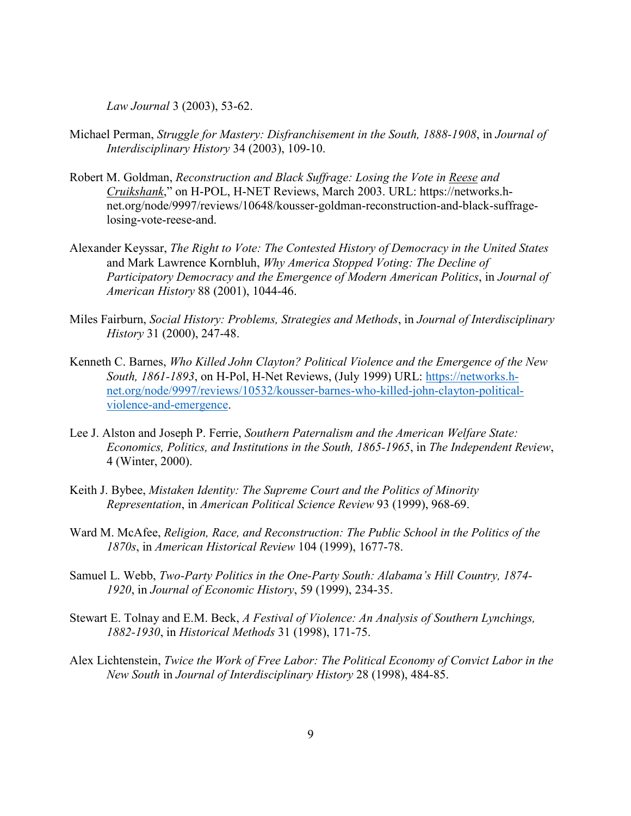*Law Journal* 3 (2003), 53-62.

- Michael Perman, *Struggle for Mastery: Disfranchisement in the South, 1888-1908*, in *Journal of Interdisciplinary History* 34 (2003), 109-10.
- Robert M. Goldman, *Reconstruction and Black Suffrage: Losing the Vote in Reese and Cruikshank*," on H-POL, H-NET Reviews, March 2003. URL: https://networks.hnet.org/node/9997/reviews/10648/kousser-goldman-reconstruction-and-black-suffragelosing-vote-reese-and.
- Alexander Keyssar, *The Right to Vote: The Contested History of Democracy in the United States* and Mark Lawrence Kornbluh, *Why America Stopped Voting: The Decline of Participatory Democracy and the Emergence of Modern American Politics*, in *Journal of American History* 88 (2001), 1044-46.
- Miles Fairburn, *Social History: Problems, Strategies and Methods*, in *Journal of Interdisciplinary History* 31 (2000), 247-48.
- Kenneth C. Barnes, *Who Killed John Clayton? Political Violence and the Emergence of the New South, 1861-1893*, on H-Pol, H-Net Reviews, (July 1999) URL: [https://networks.h](https://networks.h-net.org/node/9997/reviews/10532/kousser-barnes-who-killed-john-clayton-political-violence-and-emergence)[net.org/node/9997/reviews/10532/kousser-barnes-who-killed-john-clayton-political](https://networks.h-net.org/node/9997/reviews/10532/kousser-barnes-who-killed-john-clayton-political-violence-and-emergence)[violence-and-emergence.](https://networks.h-net.org/node/9997/reviews/10532/kousser-barnes-who-killed-john-clayton-political-violence-and-emergence)
- Lee J. Alston and Joseph P. Ferrie, *Southern Paternalism and the American Welfare State: Economics, Politics, and Institutions in the South, 1865-1965*, in *The Independent Review*, 4 (Winter, 2000).
- Keith J. Bybee, *Mistaken Identity: The Supreme Court and the Politics of Minority Representation*, in *American Political Science Review* 93 (1999), 968-69.
- Ward M. McAfee, *Religion, Race, and Reconstruction: The Public School in the Politics of the 1870s*, in *American Historical Review* 104 (1999), 1677-78.
- Samuel L. Webb, *Two-Party Politics in the One-Party South: Alabama's Hill Country, 1874- 1920*, in *Journal of Economic History*, 59 (1999), 234-35.
- Stewart E. Tolnay and E.M. Beck, *A Festival of Violence: An Analysis of Southern Lynchings, 1882-1930*, in *Historical Methods* 31 (1998), 171-75.
- Alex Lichtenstein, *Twice the Work of Free Labor: The Political Economy of Convict Labor in the New South* in *Journal of Interdisciplinary History* 28 (1998), 484-85.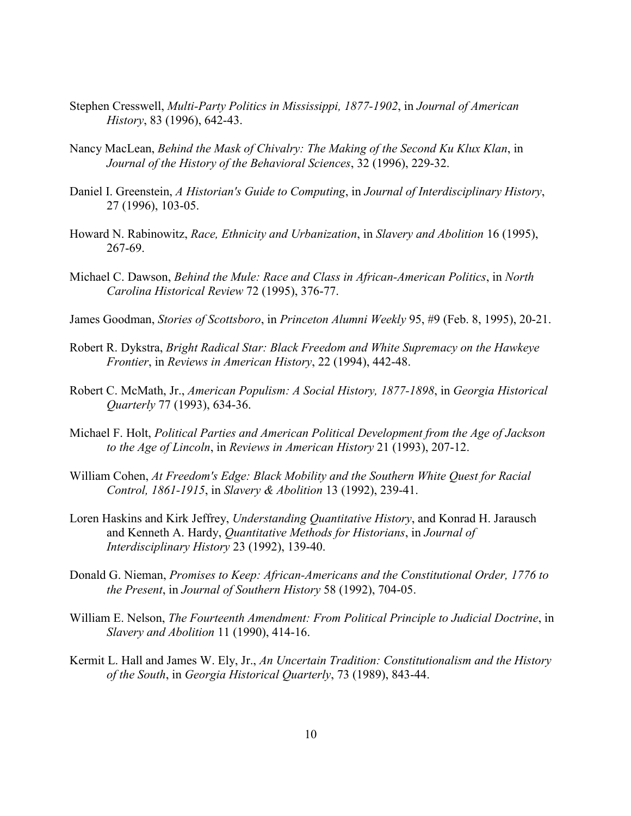- Stephen Cresswell, *Multi-Party Politics in Mississippi, 1877-1902*, in *Journal of American History*, 83 (1996), 642-43.
- Nancy MacLean, *Behind the Mask of Chivalry: The Making of the Second Ku Klux Klan*, in *Journal of the History of the Behavioral Sciences*, 32 (1996), 229-32.
- Daniel I. Greenstein, *A Historian's Guide to Computing*, in *Journal of Interdisciplinary History*, 27 (1996), 103-05.
- Howard N. Rabinowitz, *Race, Ethnicity and Urbanization*, in *Slavery and Abolition* 16 (1995), 267-69.
- Michael C. Dawson, *Behind the Mule: Race and Class in African-American Politics*, in *North Carolina Historical Review* 72 (1995), 376-77.
- James Goodman, *Stories of Scottsboro*, in *Princeton Alumni Weekly* 95, #9 (Feb. 8, 1995), 20-21.
- Robert R. Dykstra, *Bright Radical Star: Black Freedom and White Supremacy on the Hawkeye Frontier*, in *Reviews in American History*, 22 (1994), 442-48.
- Robert C. McMath, Jr., *American Populism: A Social History, 1877-1898*, in *Georgia Historical Quarterly* 77 (1993), 634-36.
- Michael F. Holt, *Political Parties and American Political Development from the Age of Jackson to the Age of Lincoln*, in *Reviews in American History* 21 (1993), 207-12.
- William Cohen, *At Freedom's Edge: Black Mobility and the Southern White Quest for Racial Control, 1861-1915*, in *Slavery & Abolition* 13 (1992), 239-41.
- Loren Haskins and Kirk Jeffrey, *Understanding Quantitative History*, and Konrad H. Jarausch and Kenneth A. Hardy, *Quantitative Methods for Historians*, in *Journal of Interdisciplinary History* 23 (1992), 139-40.
- Donald G. Nieman, *Promises to Keep: African-Americans and the Constitutional Order, 1776 to the Present*, in *Journal of Southern History* 58 (1992), 704-05.
- William E. Nelson, *The Fourteenth Amendment: From Political Principle to Judicial Doctrine*, in *Slavery and Abolition* 11 (1990), 414-16.
- Kermit L. Hall and James W. Ely, Jr., *An Uncertain Tradition: Constitutionalism and the History of the South*, in *Georgia Historical Quarterly*, 73 (1989), 843-44.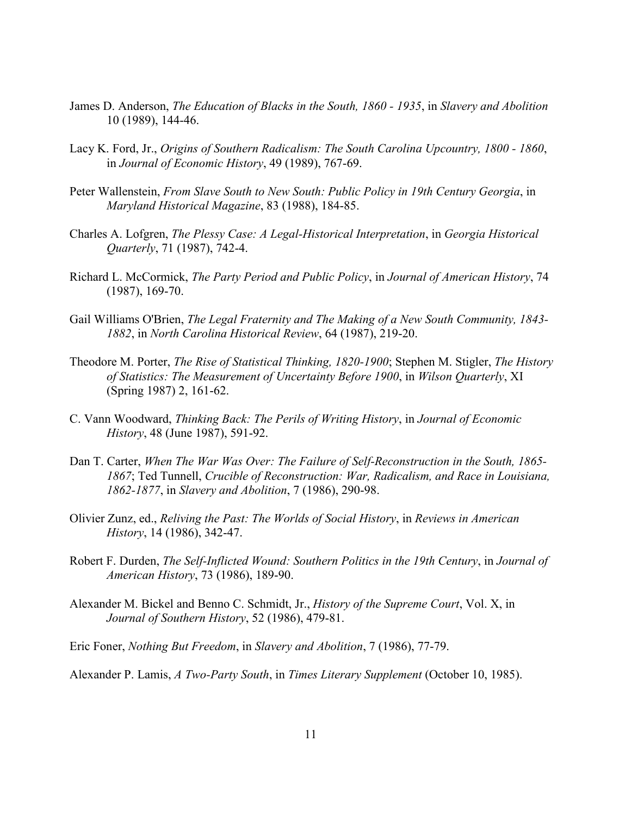- James D. Anderson, *The Education of Blacks in the South, 1860 - 1935*, in *Slavery and Abolition* 10 (1989), 144-46.
- Lacy K. Ford, Jr., *Origins of Southern Radicalism: The South Carolina Upcountry, 1800 - 1860*, in *Journal of Economic History*, 49 (1989), 767-69.
- Peter Wallenstein, *From Slave South to New South: Public Policy in 19th Century Georgia*, in *Maryland Historical Magazine*, 83 (1988), 184-85.
- Charles A. Lofgren, *The Plessy Case: A Legal-Historical Interpretation*, in *Georgia Historical Quarterly*, 71 (1987), 742-4.
- Richard L. McCormick, *The Party Period and Public Policy*, in *Journal of American History*, 74 (1987), 169-70.
- Gail Williams O'Brien, *The Legal Fraternity and The Making of a New South Community, 1843- 1882*, in *North Carolina Historical Review*, 64 (1987), 219-20.
- Theodore M. Porter, *The Rise of Statistical Thinking, 1820-1900*; Stephen M. Stigler, *The History of Statistics: The Measurement of Uncertainty Before 1900*, in *Wilson Quarterly*, XI (Spring 1987) 2, 161-62.
- C. Vann Woodward, *Thinking Back: The Perils of Writing History*, in *Journal of Economic History*, 48 (June 1987), 591-92.
- Dan T. Carter, *When The War Was Over: The Failure of Self-Reconstruction in the South, 1865- 1867*; Ted Tunnell, *Crucible of Reconstruction: War, Radicalism, and Race in Louisiana, 1862-1877*, in *Slavery and Abolition*, 7 (1986), 290-98.
- Olivier Zunz, ed., *Reliving the Past: The Worlds of Social History*, in *Reviews in American History*, 14 (1986), 342-47.
- Robert F. Durden, *The Self-Inflicted Wound: Southern Politics in the 19th Century*, in *Journal of American History*, 73 (1986), 189-90.
- Alexander M. Bickel and Benno C. Schmidt, Jr., *History of the Supreme Court*, Vol. X, in *Journal of Southern History*, 52 (1986), 479-81.
- Eric Foner, *Nothing But Freedom*, in *Slavery and Abolition*, 7 (1986), 77-79.

Alexander P. Lamis, *A Two-Party South*, in *Times Literary Supplement* (October 10, 1985).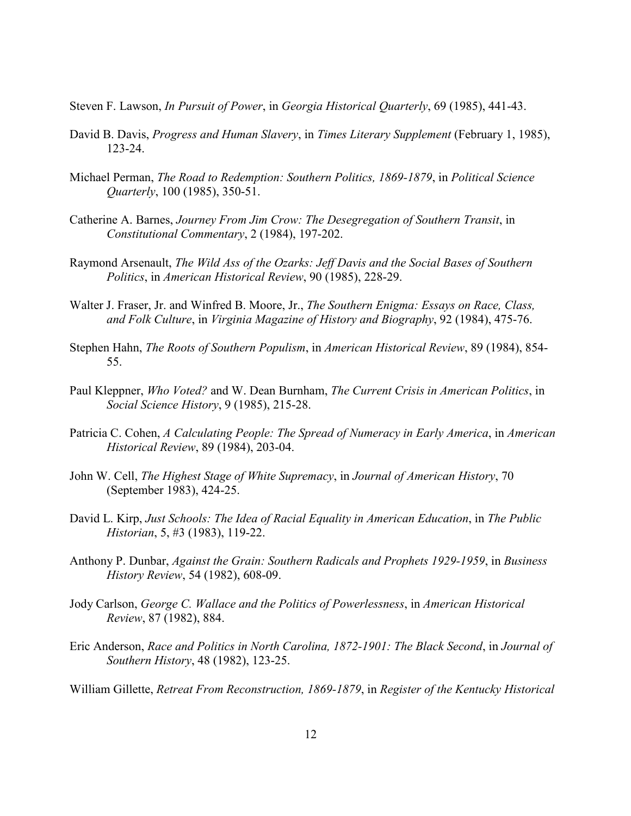- Steven F. Lawson, *In Pursuit of Power*, in *Georgia Historical Quarterly*, 69 (1985), 441-43.
- David B. Davis, *Progress and Human Slavery*, in *Times Literary Supplement* (February 1, 1985), 123-24.
- Michael Perman, *The Road to Redemption: Southern Politics, 1869-1879*, in *Political Science Quarterly*, 100 (1985), 350-51.
- Catherine A. Barnes, *Journey From Jim Crow: The Desegregation of Southern Transit*, in *Constitutional Commentary*, 2 (1984), 197-202.
- Raymond Arsenault, *The Wild Ass of the Ozarks: Jeff Davis and the Social Bases of Southern Politics*, in *American Historical Review*, 90 (1985), 228-29.
- Walter J. Fraser, Jr. and Winfred B. Moore, Jr., *The Southern Enigma: Essays on Race, Class, and Folk Culture*, in *Virginia Magazine of History and Biography*, 92 (1984), 475-76.
- Stephen Hahn, *The Roots of Southern Populism*, in *American Historical Review*, 89 (1984), 854- 55.
- Paul Kleppner, *Who Voted?* and W. Dean Burnham, *The Current Crisis in American Politics*, in *Social Science History*, 9 (1985), 215-28.
- Patricia C. Cohen, *A Calculating People: The Spread of Numeracy in Early America*, in *American Historical Review*, 89 (1984), 203-04.
- John W. Cell, *The Highest Stage of White Supremacy*, in *Journal of American History*, 70 (September 1983), 424-25.
- David L. Kirp, *Just Schools: The Idea of Racial Equality in American Education*, in *The Public Historian*, 5, #3 (1983), 119-22.
- Anthony P. Dunbar, *Against the Grain: Southern Radicals and Prophets 1929-1959*, in *Business History Review*, 54 (1982), 608-09.
- Jody Carlson, *George C. Wallace and the Politics of Powerlessness*, in *American Historical Review*, 87 (1982), 884.
- Eric Anderson, *Race and Politics in North Carolina, 1872-1901: The Black Second*, in *Journal of Southern History*, 48 (1982), 123-25.

William Gillette, *Retreat From Reconstruction, 1869-1879*, in *Register of the Kentucky Historical*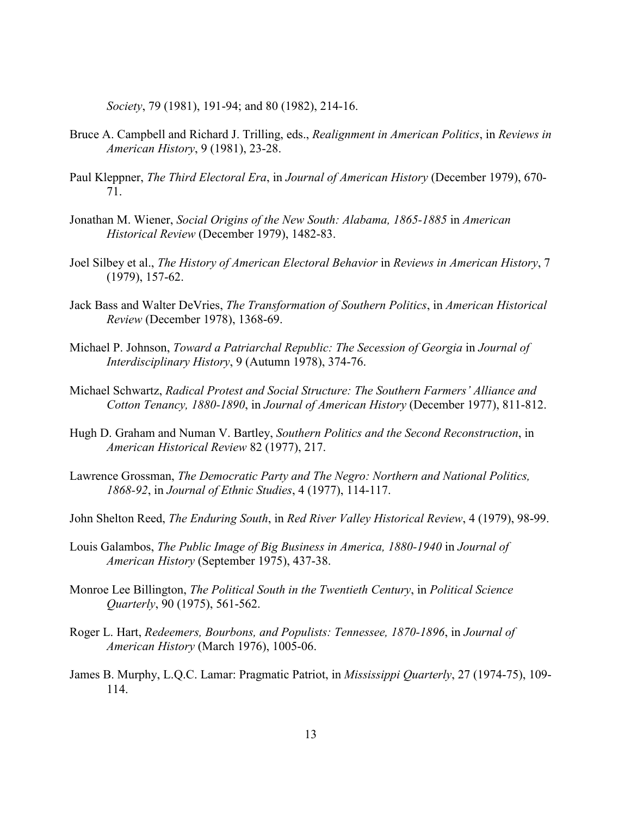*Society*, 79 (1981), 191-94; and 80 (1982), 214-16.

- Bruce A. Campbell and Richard J. Trilling, eds., *Realignment in American Politics*, in *Reviews in American History*, 9 (1981), 23-28.
- Paul Kleppner, *The Third Electoral Era*, in *Journal of American History* (December 1979), 670- 71.
- Jonathan M. Wiener, *Social Origins of the New South: Alabama, 1865-1885* in *American Historical Review* (December 1979), 1482-83.
- Joel Silbey et al., *The History of American Electoral Behavior* in *Reviews in American History*, 7 (1979), 157-62.
- Jack Bass and Walter DeVries, *The Transformation of Southern Politics*, in *American Historical Review* (December 1978), 1368-69.
- Michael P. Johnson, *Toward a Patriarchal Republic: The Secession of Georgia* in *Journal of Interdisciplinary History*, 9 (Autumn 1978), 374-76.
- Michael Schwartz, *Radical Protest and Social Structure: The Southern Farmers' Alliance and Cotton Tenancy, 1880-1890*, in *Journal of American History* (December 1977), 811-812.
- Hugh D. Graham and Numan V. Bartley, *Southern Politics and the Second Reconstruction*, in *American Historical Review* 82 (1977), 217.
- Lawrence Grossman, *The Democratic Party and The Negro: Northern and National Politics, 1868-92*, in *Journal of Ethnic Studies*, 4 (1977), 114-117.
- John Shelton Reed, *The Enduring South*, in *Red River Valley Historical Review*, 4 (1979), 98-99.
- Louis Galambos, *The Public Image of Big Business in America, 1880-1940* in *Journal of American History* (September 1975), 437-38.
- Monroe Lee Billington, *The Political South in the Twentieth Century*, in *Political Science Quarterly*, 90 (1975), 561-562.
- Roger L. Hart, *Redeemers, Bourbons, and Populists: Tennessee, 1870-1896*, in *Journal of American History* (March 1976), 1005-06.
- James B. Murphy, L.Q.C. Lamar: Pragmatic Patriot, in *Mississippi Quarterly*, 27 (1974-75), 109- 114.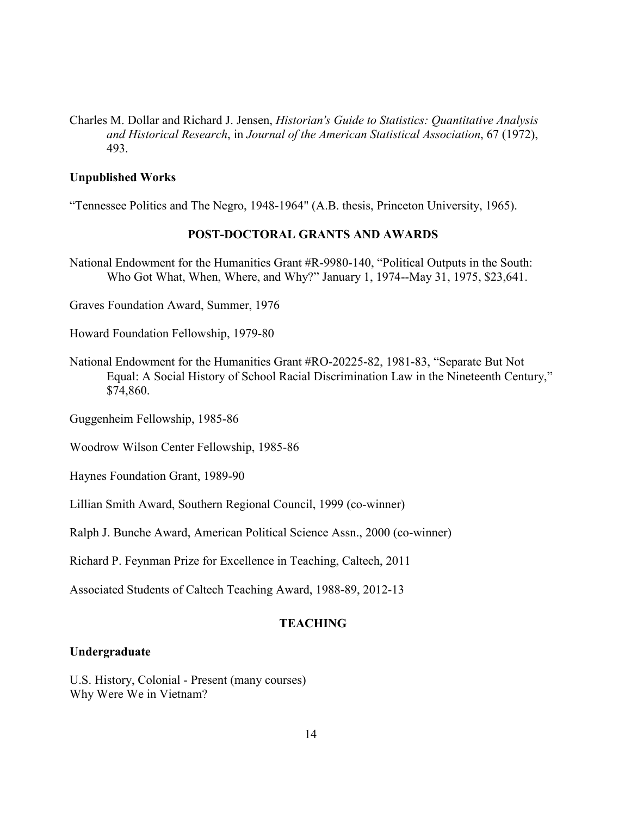Charles M. Dollar and Richard J. Jensen, *Historian's Guide to Statistics: Quantitative Analysis and Historical Research*, in *Journal of the American Statistical Association*, 67 (1972), 493.

### **Unpublished Works**

"Tennessee Politics and The Negro, 1948-1964" (A.B. thesis, Princeton University, 1965).

#### **POST-DOCTORAL GRANTS AND AWARDS**

National Endowment for the Humanities Grant #R-9980-140, "Political Outputs in the South: Who Got What, When, Where, and Why?" January 1, 1974--May 31, 1975, \$23,641.

Graves Foundation Award, Summer, 1976

Howard Foundation Fellowship, 1979-80

National Endowment for the Humanities Grant #RO-20225-82, 1981-83, "Separate But Not Equal: A Social History of School Racial Discrimination Law in the Nineteenth Century," \$74,860.

Guggenheim Fellowship, 1985-86

Woodrow Wilson Center Fellowship, 1985-86

Haynes Foundation Grant, 1989-90

Lillian Smith Award, Southern Regional Council, 1999 (co-winner)

Ralph J. Bunche Award, American Political Science Assn., 2000 (co-winner)

Richard P. Feynman Prize for Excellence in Teaching, Caltech, 2011

Associated Students of Caltech Teaching Award, 1988-89, 2012-13

# **TEACHING**

### **Undergraduate**

U.S. History, Colonial - Present (many courses) Why Were We in Vietnam?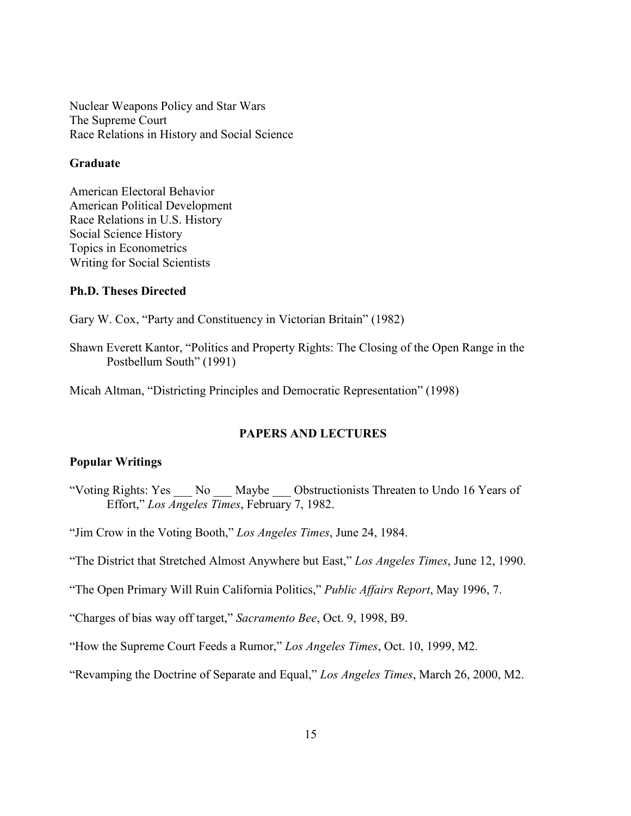Nuclear Weapons Policy and Star Wars The Supreme Court Race Relations in History and Social Science

#### **Graduate**

American Electoral Behavior American Political Development Race Relations in U.S. History Social Science History Topics in Econometrics Writing for Social Scientists

### **Ph.D. Theses Directed**

Gary W. Cox, "Party and Constituency in Victorian Britain" (1982)

Shawn Everett Kantor, "Politics and Property Rights: The Closing of the Open Range in the Postbellum South" (1991)

Micah Altman, "Districting Principles and Democratic Representation" (1998)

# **PAPERS AND LECTURES**

### **Popular Writings**

"Voting Rights: Yes No Maybe Obstructionists Threaten to Undo 16 Years of Effort," *Los Angeles Times*, February 7, 1982.

"Jim Crow in the Voting Booth," *Los Angeles Times*, June 24, 1984.

"The District that Stretched Almost Anywhere but East," *Los Angeles Times*, June 12, 1990.

"The Open Primary Will Ruin California Politics," *Public Affairs Report*, May 1996, 7.

"Charges of bias way off target," *Sacramento Bee*, Oct. 9, 1998, B9.

"How the Supreme Court Feeds a Rumor," *Los Angeles Times*, Oct. 10, 1999, M2.

"Revamping the Doctrine of Separate and Equal," *Los Angeles Times*, March 26, 2000, M2.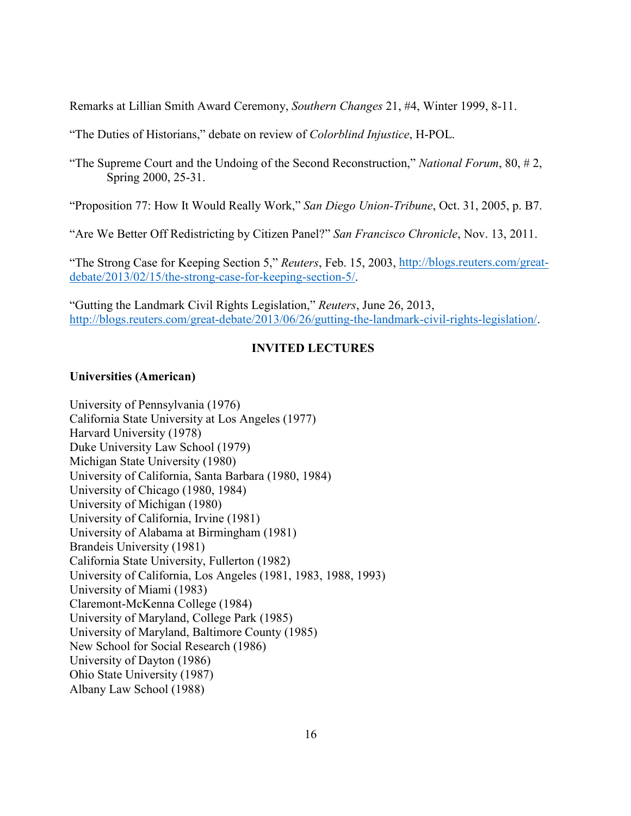Remarks at Lillian Smith Award Ceremony, *Southern Changes* 21, #4, Winter 1999, 8-11.

"The Duties of Historians," debate on review of *Colorblind Injustice*, H-POL.

"The Supreme Court and the Undoing of the Second Reconstruction," *National Forum*, 80, # 2, Spring 2000, 25-31.

"Proposition 77: How It Would Really Work," *San Diego Union-Tribune*, Oct. 31, 2005, p. B7.

"Are We Better Off Redistricting by Citizen Panel?" *San Francisco Chronicle*, Nov. 13, 2011.

"The Strong Case for Keeping Section 5," *Reuters*, Feb. 15, 2003, [http://blogs.reuters.com/great](http://blogs.reuters.com/great-debate/2013/02/15/the-strong-case-for-keeping-section-5/)[debate/2013/02/15/the-strong-case-for-keeping-section-5/.](http://blogs.reuters.com/great-debate/2013/02/15/the-strong-case-for-keeping-section-5/)

"Gutting the Landmark Civil Rights Legislation," *Reuters*, June 26, 2013, [http://blogs.reuters.com/great-debate/2013/06/26/gutting-the-landmark-civil-rights-legislation/.](http://blogs.reuters.com/great-debate/2013/06/26/gutting-the-landmark-civil-rights-legislation/)

## **INVITED LECTURES**

#### **Universities (American)**

University of Pennsylvania (1976) California State University at Los Angeles (1977) Harvard University (1978) Duke University Law School (1979) Michigan State University (1980) University of California, Santa Barbara (1980, 1984) University of Chicago (1980, 1984) University of Michigan (1980) University of California, Irvine (1981) University of Alabama at Birmingham (1981) Brandeis University (1981) California State University, Fullerton (1982) University of California, Los Angeles (1981, 1983, 1988, 1993) University of Miami (1983) Claremont-McKenna College (1984) University of Maryland, College Park (1985) University of Maryland, Baltimore County (1985) New School for Social Research (1986) University of Dayton (1986) Ohio State University (1987) Albany Law School (1988)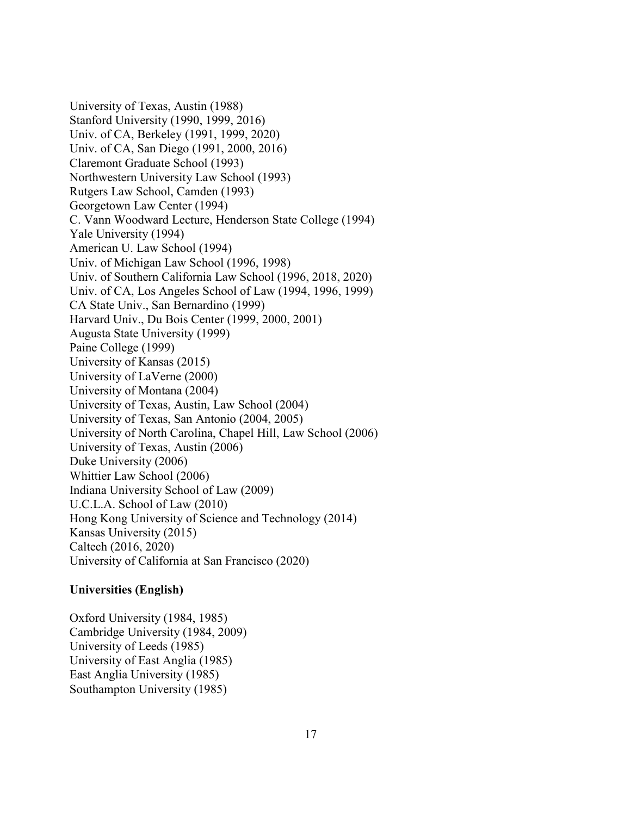University of Texas, Austin (1988) Stanford University (1990, 1999, 2016) Univ. of CA, Berkeley (1991, 1999, 2020) Univ. of CA, San Diego (1991, 2000, 2016) Claremont Graduate School (1993) Northwestern University Law School (1993) Rutgers Law School, Camden (1993) Georgetown Law Center (1994) C. Vann Woodward Lecture, Henderson State College (1994) Yale University (1994) American U. Law School (1994) Univ. of Michigan Law School (1996, 1998) Univ. of Southern California Law School (1996, 2018, 2020) Univ. of CA, Los Angeles School of Law (1994, 1996, 1999) CA State Univ., San Bernardino (1999) Harvard Univ., Du Bois Center (1999, 2000, 2001) Augusta State University (1999) Paine College (1999) University of Kansas (2015) University of LaVerne (2000) University of Montana (2004) University of Texas, Austin, Law School (2004) University of Texas, San Antonio (2004, 2005) University of North Carolina, Chapel Hill, Law School (2006) University of Texas, Austin (2006) Duke University (2006) Whittier Law School (2006) Indiana University School of Law (2009) U.C.L.A. School of Law (2010) Hong Kong University of Science and Technology (2014) Kansas University (2015) Caltech (2016, 2020) University of California at San Francisco (2020)

### **Universities (English)**

Oxford University (1984, 1985) Cambridge University (1984, 2009) University of Leeds (1985) University of East Anglia (1985) East Anglia University (1985) Southampton University (1985)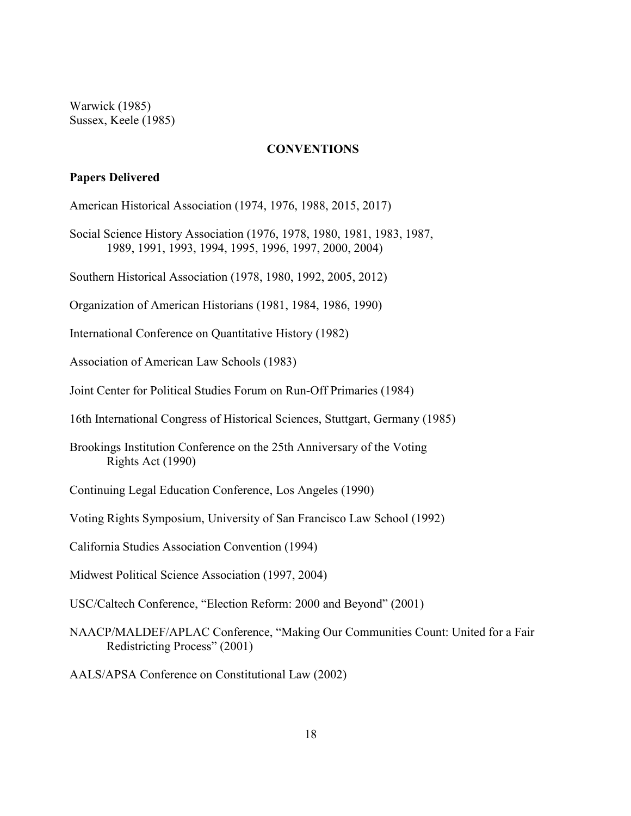Warwick (1985) Sussex, Keele (1985)

#### **CONVENTIONS**

### **Papers Delivered**

American Historical Association (1974, 1976, 1988, 2015, 2017)

Social Science History Association (1976, 1978, 1980, 1981, 1983, 1987, 1989, 1991, 1993, 1994, 1995, 1996, 1997, 2000, 2004)

Southern Historical Association (1978, 1980, 1992, 2005, 2012)

Organization of American Historians (1981, 1984, 1986, 1990)

International Conference on Quantitative History (1982)

Association of American Law Schools (1983)

Joint Center for Political Studies Forum on Run-Off Primaries (1984)

16th International Congress of Historical Sciences, Stuttgart, Germany (1985)

Brookings Institution Conference on the 25th Anniversary of the Voting Rights Act (1990)

Continuing Legal Education Conference, Los Angeles (1990)

Voting Rights Symposium, University of San Francisco Law School (1992)

California Studies Association Convention (1994)

Midwest Political Science Association (1997, 2004)

USC/Caltech Conference, "Election Reform: 2000 and Beyond" (2001)

NAACP/MALDEF/APLAC Conference, "Making Our Communities Count: United for a Fair Redistricting Process" (2001)

AALS/APSA Conference on Constitutional Law (2002)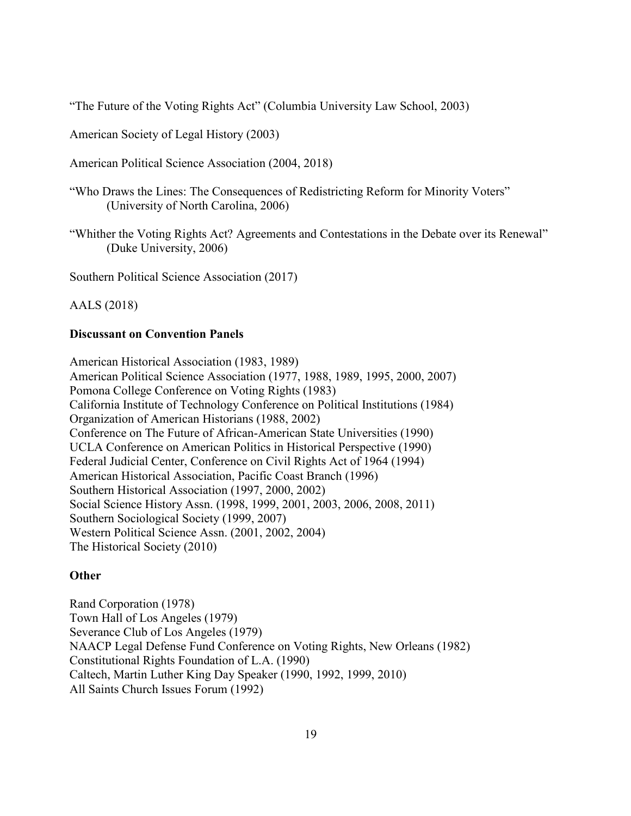"The Future of the Voting Rights Act" (Columbia University Law School, 2003)

American Society of Legal History (2003)

American Political Science Association (2004, 2018)

"Who Draws the Lines: The Consequences of Redistricting Reform for Minority Voters" (University of North Carolina, 2006)

"Whither the Voting Rights Act? Agreements and Contestations in the Debate over its Renewal" (Duke University, 2006)

Southern Political Science Association (2017)

AALS (2018)

### **Discussant on Convention Panels**

American Historical Association (1983, 1989) American Political Science Association (1977, 1988, 1989, 1995, 2000, 2007) Pomona College Conference on Voting Rights (1983) California Institute of Technology Conference on Political Institutions (1984) Organization of American Historians (1988, 2002) Conference on The Future of African-American State Universities (1990) UCLA Conference on American Politics in Historical Perspective (1990) Federal Judicial Center, Conference on Civil Rights Act of 1964 (1994) American Historical Association, Pacific Coast Branch (1996) Southern Historical Association (1997, 2000, 2002) Social Science History Assn. (1998, 1999, 2001, 2003, 2006, 2008, 2011) Southern Sociological Society (1999, 2007) Western Political Science Assn. (2001, 2002, 2004) The Historical Society (2010)

# **Other**

Rand Corporation (1978) Town Hall of Los Angeles (1979) Severance Club of Los Angeles (1979) NAACP Legal Defense Fund Conference on Voting Rights, New Orleans (1982) Constitutional Rights Foundation of L.A. (1990) Caltech, Martin Luther King Day Speaker (1990, 1992, 1999, 2010) All Saints Church Issues Forum (1992)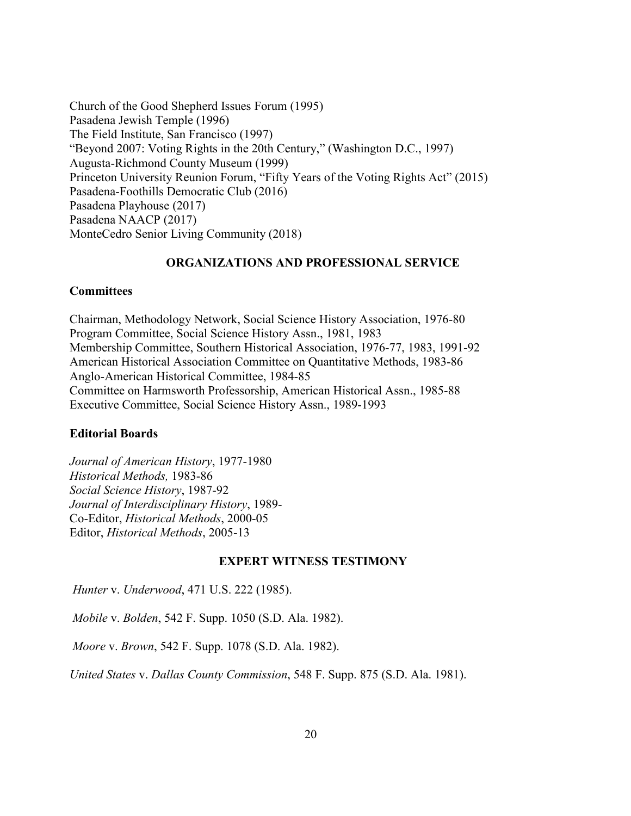Church of the Good Shepherd Issues Forum (1995) Pasadena Jewish Temple (1996) The Field Institute, San Francisco (1997) "Beyond 2007: Voting Rights in the 20th Century," (Washington D.C., 1997) Augusta-Richmond County Museum (1999) Princeton University Reunion Forum, "Fifty Years of the Voting Rights Act" (2015) Pasadena-Foothills Democratic Club (2016) Pasadena Playhouse (2017) Pasadena NAACP (2017) MonteCedro Senior Living Community (2018)

# **ORGANIZATIONS AND PROFESSIONAL SERVICE**

### **Committees**

Chairman, Methodology Network, Social Science History Association, 1976-80 Program Committee, Social Science History Assn., 1981, 1983 Membership Committee, Southern Historical Association, 1976-77, 1983, 1991-92 American Historical Association Committee on Quantitative Methods, 1983-86 Anglo-American Historical Committee, 1984-85 Committee on Harmsworth Professorship, American Historical Assn., 1985-88 Executive Committee, Social Science History Assn., 1989-1993

#### **Editorial Boards**

*Journal of American History*, 1977-1980 *Historical Methods,* 1983-86 *Social Science History*, 1987-92 *Journal of Interdisciplinary History*, 1989- Co-Editor, *Historical Methods*, 2000-05 Editor, *Historical Methods*, 2005-13

#### **EXPERT WITNESS TESTIMONY**

*Hunter* v. *Underwood*, 471 U.S. 222 (1985).

*Mobile* v. *Bolden*, 542 F. Supp. 1050 (S.D. Ala. 1982).

*Moore* v. *Brown*, 542 F. Supp. 1078 (S.D. Ala. 1982).

*United States* v. *Dallas County Commission*, 548 F. Supp. 875 (S.D. Ala. 1981).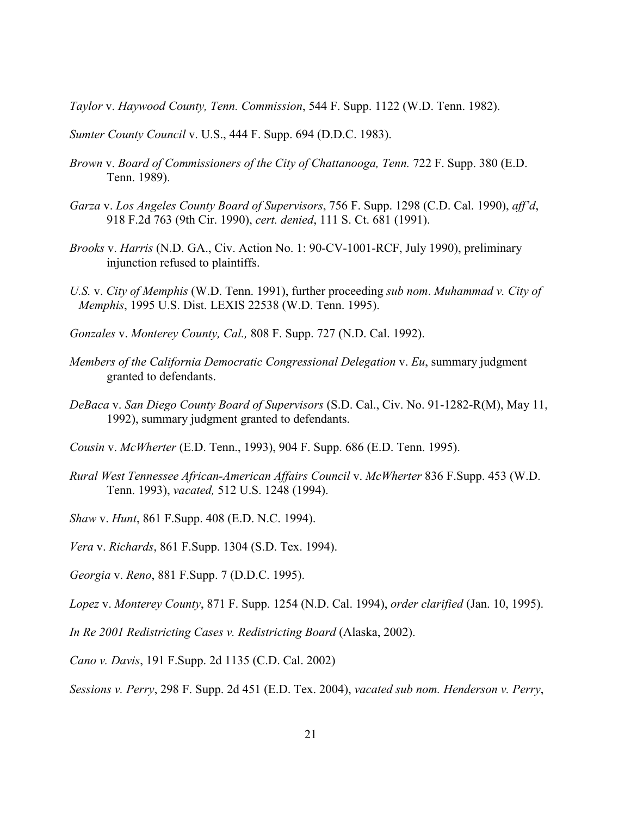*Taylor* v. *Haywood County, Tenn. Commission*, 544 F. Supp. 1122 (W.D. Tenn. 1982).

*Sumter County Council* v. U.S., 444 F. Supp. 694 (D.D.C. 1983).

- *Brown* v. *Board of Commissioners of the City of Chattanooga, Tenn.* 722 F. Supp. 380 (E.D. Tenn. 1989).
- *Garza* v. *Los Angeles County Board of Supervisors*, 756 F. Supp. 1298 (C.D. Cal. 1990), *aff'd*, 918 F.2d 763 (9th Cir. 1990), *cert. denied*, 111 S. Ct. 681 (1991).
- *Brooks* v. *Harris* (N.D. GA., Civ. Action No. 1: 90-CV-1001-RCF, July 1990), preliminary injunction refused to plaintiffs.
- *U.S.* v. *City of Memphis* (W.D. Tenn. 1991), further proceeding *sub nom*. *Muhammad v. City of Memphis*, 1995 U.S. Dist. LEXIS 22538 (W.D. Tenn. 1995).
- *Gonzales* v. *Monterey County, Cal.,* 808 F. Supp. 727 (N.D. Cal. 1992).
- *Members of the California Democratic Congressional Delegation* v. *Eu*, summary judgment granted to defendants.
- *DeBaca* v. *San Diego County Board of Supervisors* (S.D. Cal., Civ. No. 91-1282-R(M), May 11, 1992), summary judgment granted to defendants.
- *Cousin* v. *McWherter* (E.D. Tenn., 1993), 904 F. Supp. 686 (E.D. Tenn. 1995).
- *Rural West Tennessee African-American Affairs Council* v. *McWherter* 836 F.Supp. 453 (W.D. Tenn. 1993), *vacated,* 512 U.S. 1248 (1994).

*Shaw* v. *Hunt*, 861 F.Supp. 408 (E.D. N.C. 1994).

*Vera* v. *Richards*, 861 F.Supp. 1304 (S.D. Tex. 1994).

*Georgia* v. *Reno*, 881 F.Supp. 7 (D.D.C. 1995).

*Lopez* v. *Monterey County*, 871 F. Supp. 1254 (N.D. Cal. 1994), *order clarified* (Jan. 10, 1995).

*In Re 2001 Redistricting Cases v. Redistricting Board* (Alaska, 2002).

*Cano v. Davis*, 191 F.Supp. 2d 1135 (C.D. Cal. 2002)

*Sessions v. Perry*, 298 F. Supp. 2d 451 (E.D. Tex. 2004), *vacated sub nom. Henderson v. Perry*,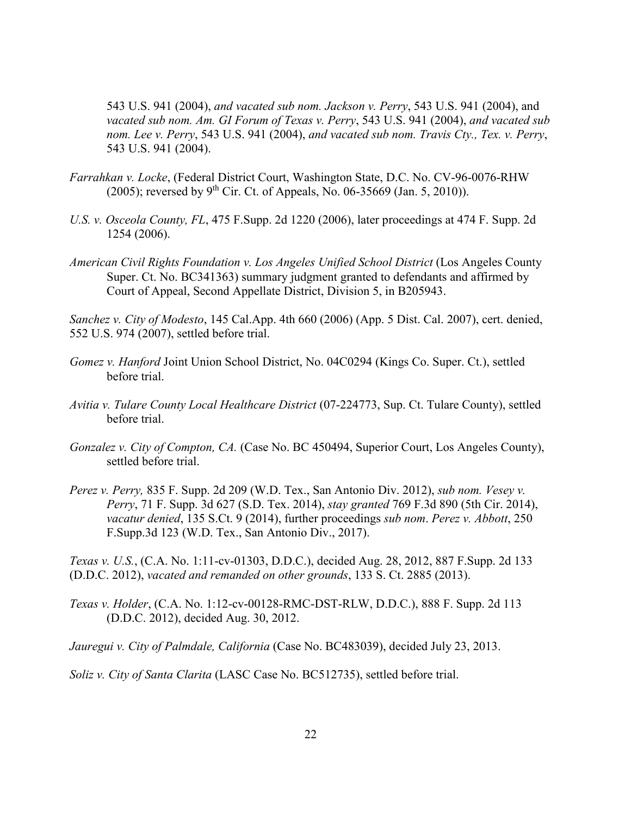543 U.S. 941 (2004), *and vacated sub nom. Jackson v. Perry*, 543 U.S. 941 (2004), and *vacated sub nom. Am. GI Forum of Texas v. Perry*, 543 U.S. 941 (2004), *and vacated sub nom. Lee v. Perry*, 543 U.S. 941 (2004), *and vacated sub nom. Travis Cty., Tex. v. Perry*, 543 U.S. 941 (2004).

- *Farrahkan v. Locke*, (Federal District Court, Washington State, D.C. No. CV-96-0076-RHW (2005); reversed by 9<sup>th</sup> Cir. Ct. of Appeals, No. 06-35669 (Jan. 5, 2010)).
- *U.S. v. Osceola County, FL*, 475 F.Supp. 2d 1220 (2006), later proceedings at 474 F. Supp. 2d 1254 (2006).
- *American Civil Rights Foundation v. Los Angeles Unified School District* (Los Angeles County Super. Ct. No. BC341363) summary judgment granted to defendants and affirmed by Court of Appeal, Second Appellate District, Division 5, in B205943.

*Sanchez v. City of Modesto*, 145 Cal.App. 4th 660 (2006) (App. 5 Dist. Cal. 2007), cert. denied, 552 U.S. 974 (2007), settled before trial.

- *Gomez v. Hanford* Joint Union School District, No. 04C0294 (Kings Co. Super. Ct.), settled before trial.
- *Avitia v. Tulare County Local Healthcare District* (07-224773, Sup. Ct. Tulare County), settled before trial.
- *Gonzalez v. City of Compton, CA.* (Case No. BC 450494, Superior Court, Los Angeles County), settled before trial.
- *Perez v. Perry,* 835 F. Supp. 2d 209 (W.D. Tex., San Antonio Div. 2012), *sub nom. Vesey v. Perry*, 71 F. Supp. 3d 627 (S.D. Tex. 2014), *stay granted* 769 F.3d 890 (5th Cir. 2014), *vacatur denied*, 135 S.Ct. 9 (2014), further proceedings *sub nom*. *Perez v. Abbott*, 250 F.Supp.3d 123 (W.D. Tex., San Antonio Div., 2017).

*Texas v. U.S.*, (C.A. No. 1:11-cv-01303, D.D.C.), decided Aug. 28, 2012, 887 F.Supp. 2d 133 (D.D.C. 2012), *vacated and remanded on other grounds*, 133 S. Ct. 2885 (2013).

*Texas v. Holder*, (C.A. No. 1:12-cv-00128-RMC-DST-RLW, D.D.C.), 888 F. Supp. 2d 113 (D.D.C. 2012), decided Aug. 30, 2012.

*Jauregui v. City of Palmdale, California* (Case No. BC483039), decided July 23, 2013.

*Soliz v. City of Santa Clarita* (LASC Case No. BC512735), settled before trial.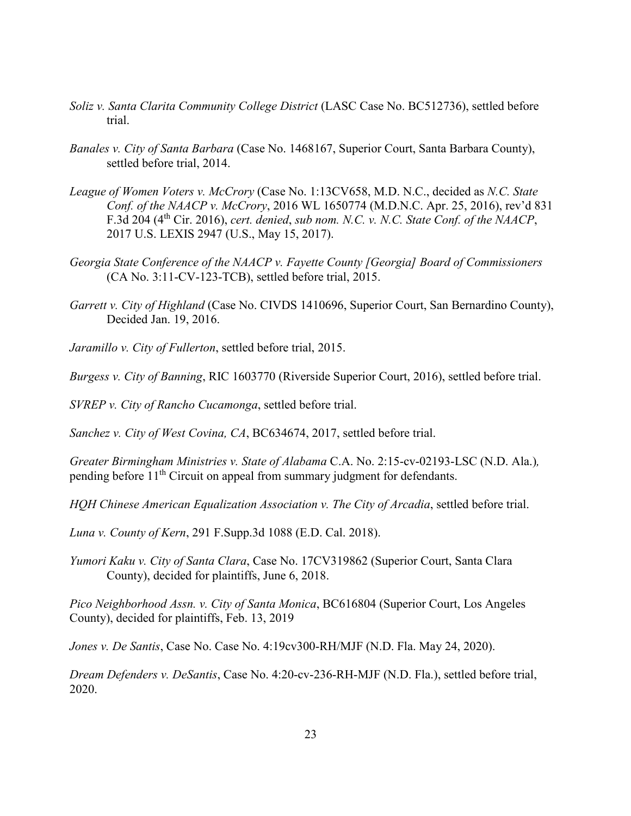- *Soliz v. Santa Clarita Community College District* (LASC Case No. BC512736), settled before trial.
- *Banales v. City of Santa Barbara* (Case No. 1468167, Superior Court, Santa Barbara County), settled before trial, 2014.
- *League of Women Voters v. McCrory* (Case No. 1:13CV658, M.D. N.C., decided as *N.C. State Conf. of the NAACP v. McCrory*, 2016 WL 1650774 (M.D.N.C. Apr. 25, 2016), rev'd 831 F.3d 204 (4th Cir. 2016), *cert. denied*, *sub nom. N.C. v. N.C. State Conf. of the NAACP*, 2017 U.S. LEXIS 2947 (U.S., May 15, 2017).
- *Georgia State Conference of the NAACP v. Fayette County [Georgia] Board of Commissioners* (CA No. 3:11-CV-123-TCB), settled before trial, 2015.
- *Garrett v. City of Highland* (Case No. CIVDS 1410696, Superior Court, San Bernardino County), Decided Jan. 19, 2016.
- *Jaramillo v. City of Fullerton*, settled before trial, 2015.

*Burgess v. City of Banning*, RIC 1603770 (Riverside Superior Court, 2016), settled before trial.

*SVREP v. City of Rancho Cucamonga*, settled before trial.

*Sanchez v. City of West Covina, CA*, BC634674, 2017, settled before trial.

*Greater Birmingham Ministries v. State of Alabama* C.A. No. 2:15-cv-02193-LSC (N.D. Ala.)*,* pending before  $11<sup>th</sup>$  Circuit on appeal from summary judgment for defendants.

*HQH Chinese American Equalization Association v. The City of Arcadia*, settled before trial.

*Luna v. County of Kern*, 291 F.Supp.3d 1088 (E.D. Cal. 2018).

*Yumori Kaku v. City of Santa Clara*, Case No. 17CV319862 (Superior Court, Santa Clara County), decided for plaintiffs, June 6, 2018.

*Pico Neighborhood Assn. v. City of Santa Monica*, BC616804 (Superior Court, Los Angeles County), decided for plaintiffs, Feb. 13, 2019

*Jones v. De Santis*, Case No. Case No. 4:19cv300-RH/MJF (N.D. Fla. May 24, 2020).

*Dream Defenders v. DeSantis*, Case No. 4:20-cv-236-RH-MJF (N.D. Fla.), settled before trial, 2020.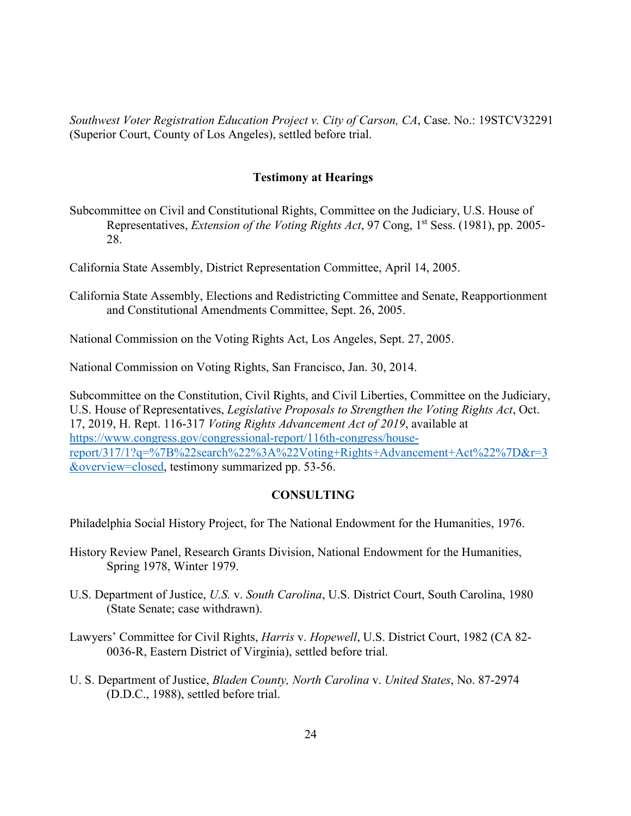*Southwest Voter Registration Education Project v. City of Carson, CA*, Case. No.: 19STCV32291 (Superior Court, County of Los Angeles), settled before trial.

# **Testimony at Hearings**

Subcommittee on Civil and Constitutional Rights, Committee on the Judiciary, U.S. House of Representatives, *Extension of the Voting Rights Act*, 97 Cong, 1st Sess. (1981), pp. 2005- 28.

California State Assembly, District Representation Committee, April 14, 2005.

- California State Assembly, Elections and Redistricting Committee and Senate, Reapportionment and Constitutional Amendments Committee, Sept. 26, 2005.
- National Commission on the Voting Rights Act, Los Angeles, Sept. 27, 2005.

National Commission on Voting Rights, San Francisco, Jan. 30, 2014.

Subcommittee on the Constitution, Civil Rights, and Civil Liberties, Committee on the Judiciary, U.S. House of Representatives, *Legislative Proposals to Strengthen the Voting Rights Act*, Oct. 17, 2019, H. Rept. 116-317 *Voting Rights Advancement Act of 2019*, available at [https://www.congress.gov/congressional-report/116th-congress/house](https://www.congress.gov/congressional-report/116th-congress/house-report/317/1?q=%7B%22search%22%3A%22Voting+Rights+Advancement+Act%22%7D&r=3&overview=closed)[report/317/1?q=%7B%22search%22%3A%22Voting+Rights+Advancement+Act%22%7D&r=3](https://www.congress.gov/congressional-report/116th-congress/house-report/317/1?q=%7B%22search%22%3A%22Voting+Rights+Advancement+Act%22%7D&r=3&overview=closed) [&overview=closed,](https://www.congress.gov/congressional-report/116th-congress/house-report/317/1?q=%7B%22search%22%3A%22Voting+Rights+Advancement+Act%22%7D&r=3&overview=closed) testimony summarized pp. 53-56.

#### **CONSULTING**

Philadelphia Social History Project, for The National Endowment for the Humanities, 1976.

- History Review Panel, Research Grants Division, National Endowment for the Humanities, Spring 1978, Winter 1979.
- U.S. Department of Justice, *U.S.* v. *South Carolina*, U.S. District Court, South Carolina, 1980 (State Senate; case withdrawn).
- Lawyers' Committee for Civil Rights, *Harris* v. *Hopewell*, U.S. District Court, 1982 (CA 82- 0036-R, Eastern District of Virginia), settled before trial.
- U. S. Department of Justice, *Bladen County, North Carolina* v. *United States*, No. 87-2974 (D.D.C., 1988), settled before trial.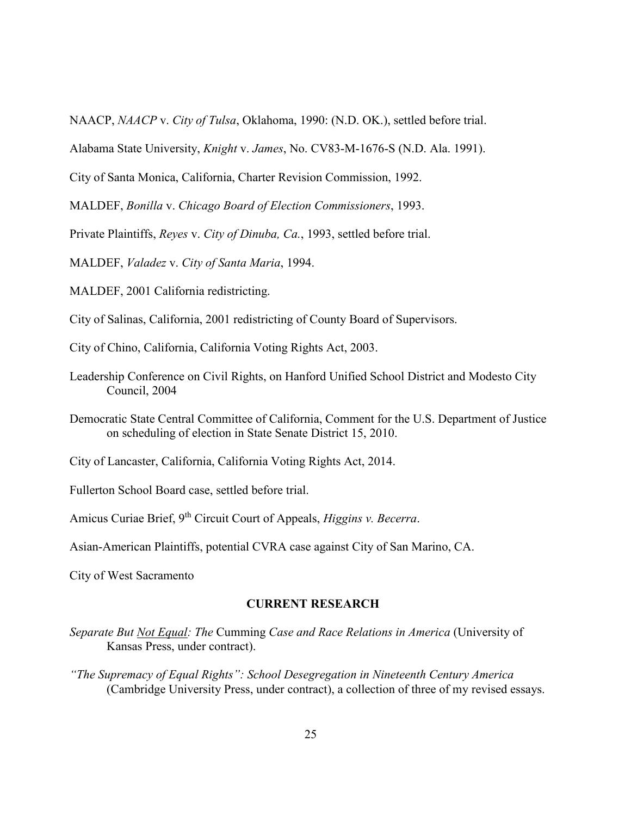NAACP, *NAACP* v. *City of Tulsa*, Oklahoma, 1990: (N.D. OK.), settled before trial.

Alabama State University, *Knight* v. *James*, No. CV83-M-1676-S (N.D. Ala. 1991).

City of Santa Monica, California, Charter Revision Commission, 1992.

MALDEF, *Bonilla* v. *Chicago Board of Election Commissioners*, 1993.

Private Plaintiffs, *Reyes* v. *City of Dinuba, Ca.*, 1993, settled before trial.

MALDEF, *Valadez* v. *City of Santa Maria*, 1994.

MALDEF, 2001 California redistricting.

City of Salinas, California, 2001 redistricting of County Board of Supervisors.

City of Chino, California, California Voting Rights Act, 2003.

- Leadership Conference on Civil Rights, on Hanford Unified School District and Modesto City Council, 2004
- Democratic State Central Committee of California, Comment for the U.S. Department of Justice on scheduling of election in State Senate District 15, 2010.
- City of Lancaster, California, California Voting Rights Act, 2014.

Fullerton School Board case, settled before trial.

Amicus Curiae Brief, 9<sup>th</sup> Circuit Court of Appeals, *Higgins v. Becerra*.

Asian-American Plaintiffs, potential CVRA case against City of San Marino, CA.

City of West Sacramento

### **CURRENT RESEARCH**

- *Separate But Not Equal: The* Cumming *Case and Race Relations in America* (University of Kansas Press, under contract).
- *"The Supremacy of Equal Rights": School Desegregation in Nineteenth Century America* (Cambridge University Press, under contract), a collection of three of my revised essays.